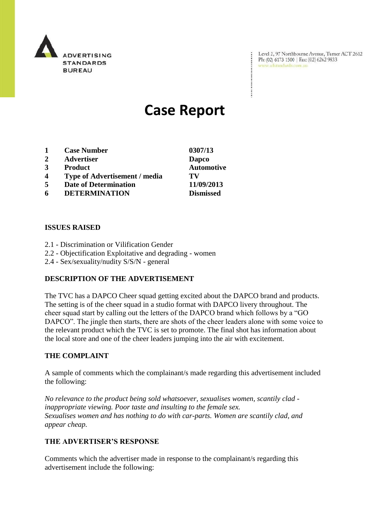

Level 2, 97 Northbourne Avenue, Turner ACT 2612<br>Ph:  $(02)$  6173 1500 | Fax:  $(02)$  6262 9833 Ph: (02) 6173 1500 | Fax: (02) 6262 9833

# **Case Report**

| 0307/13           |
|-------------------|
| Dapco             |
| <b>Automotive</b> |
| TV                |
| 11/09/2013        |
| <b>Dismissed</b>  |
|                   |

### **ISSUES RAISED**

- 2.1 Discrimination or Vilification Gender
- 2.2 Objectification Exploitative and degrading women
- 2.4 Sex/sexuality/nudity S/S/N general

#### **DESCRIPTION OF THE ADVERTISEMENT**

The TVC has a DAPCO Cheer squad getting excited about the DAPCO brand and products. The setting is of the cheer squad in a studio format with DAPCO livery throughout. The cheer squad start by calling out the letters of the DAPCO brand which follows by a "GO DAPCO". The jingle then starts, there are shots of the cheer leaders alone with some voice to the relevant product which the TVC is set to promote. The final shot has information about the local store and one of the cheer leaders jumping into the air with excitement.

#### **THE COMPLAINT**

A sample of comments which the complainant/s made regarding this advertisement included the following:

*No relevance to the product being sold whatsoever, sexualises women, scantily clad inappropriate viewing. Poor taste and insulting to the female sex. Sexualises women and has nothing to do with car-parts. Women are scantily clad, and appear cheap.*

#### **THE ADVERTISER'S RESPONSE**

Comments which the advertiser made in response to the complainant/s regarding this advertisement include the following: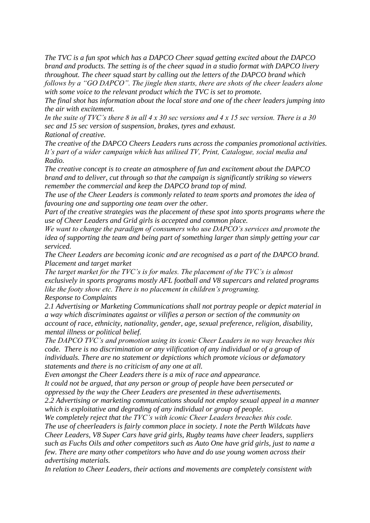*The TVC is a fun spot which has a DAPCO Cheer squad getting excited about the DAPCO brand and products. The setting is of the cheer squad in a studio format with DAPCO livery throughout. The cheer squad start by calling out the letters of the DAPCO brand which follows by a "GO DAPCO". The jingle then starts, there are shots of the cheer leaders alone with some voice to the relevant product which the TVC is set to promote.*

*The final shot has information about the local store and one of the cheer leaders jumping into the air with excitement.*

*In the suite of TVC's there 8 in all 4 x 30 sec versions and 4 x 15 sec version. There is a 30 sec and 15 sec version of suspension, brakes, tyres and exhaust.*

*Rational of creative.*

*The creative of the DAPCO Cheers Leaders runs across the companies promotional activities. It's part of a wider campaign which has utilised TV, Print, Catalogue, social media and Radio.*

*The creative concept is to create an atmosphere of fun and excitement about the DAPCO brand and to deliver, cut through so that the campaign is significantly striking so viewers remember the commercial and keep the DAPCO brand top of mind.*

*The use of the Cheer Leaders is commonly related to team sports and promotes the idea of favouring one and supporting one team over the other.*

*Part of the creative strategies was the placement of these spot into sports programs where the use of Cheer Leaders and Grid girls is accepted and common place.*

*We want to change the paradigm of consumers who use DAPCO's services and promote the idea of supporting the team and being part of something larger than simply getting your car serviced.*

*The Cheer Leaders are becoming iconic and are recognised as a part of the DAPCO brand. Placement and target market*

*The target market for the TVC's is for males. The placement of the TVC's is almost exclusively in sports programs mostly AFL football and V8 supercars and related programs like the footy show etc. There is no placement in children's programing. Response to Complaints*

*2.1 Advertising or Marketing Communications shall not portray people or depict material in a way which discriminates against or vilifies a person or section of the community on account of race, ethnicity, nationality, gender, age, sexual preference, religion, disability, mental illness or political belief.*

*The DAPCO TVC's and promotion using its iconic Cheer Leaders in no way breaches this code. There is no discrimination or any vilification of any individual or of a group of individuals. There are no statement or depictions which promote vicious or defamatory statements and there is no criticism of any one at all.*

*Even amongst the Cheer Leaders there is a mix of race and appearance.*

*It could not be argued, that any person or group of people have been persecuted or oppressed by the way the Cheer Leaders are presented in these advertisements.*

*2.2 Advertising or marketing communications should not employ sexual appeal in a manner which is exploitative and degrading of any individual or group of people.*

*We completely reject that the TVC's with iconic Cheer Leaders breaches this code. The use of cheerleaders is fairly common place in society. I note the Perth Wildcats have Cheer Leaders, V8 Super Cars have grid girls, Rugby teams have cheer leaders, suppliers such as Fuchs Oils and other competitors such as Auto One have grid girls, just to name a few. There are many other competitors who have and do use young women across their advertising materials.*

*In relation to Cheer Leaders, their actions and movements are completely consistent with*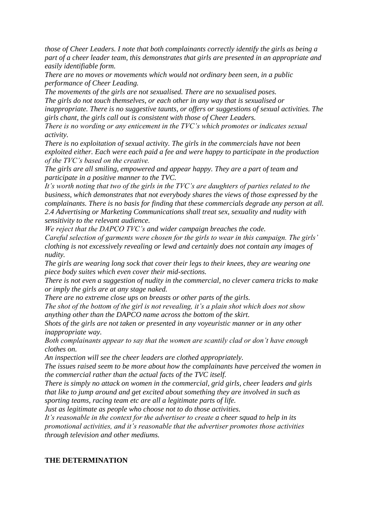*those of Cheer Leaders. I note that both complainants correctly identify the girls as being a part of a cheer leader team, this demonstrates that girls are presented in an appropriate and easily identifiable form.*

*There are no moves or movements which would not ordinary been seen, in a public performance of Cheer Leading.*

*The movements of the girls are not sexualised. There are no sexualised poses. The girls do not touch themselves, or each other in any way that is sexualised or inappropriate. There is no suggestive taunts, or offers or suggestions of sexual activities. The girls chant, the girls call out is consistent with those of Cheer Leaders.*

*There is no wording or any enticement in the TVC's which promotes or indicates sexual activity.*

*There is no exploitation of sexual activity. The girls in the commercials have not been exploited either. Each were each paid a fee and were happy to participate in the production of the TVC's based on the creative.*

*The girls are all smiling, empowered and appear happy. They are a part of team and participate in a positive manner to the TVC.*

*It's worth noting that two of the girls in the TVC's are daughters of parties related to the business, which demonstrates that not everybody shares the views of those expressed by the complainants. There is no basis for finding that these commercials degrade any person at all. 2.4 Advertising or Marketing Communications shall treat sex, sexuality and nudity with sensitivity to the relevant audience.*

*We reject that the DAPCO TVC's and wider campaign breaches the code.*

*Careful selection of garments were chosen for the girls to wear in this campaign. The girls' clothing is not excessively revealing or lewd and certainly does not contain any images of nudity.*

*The girls are wearing long sock that cover their legs to their knees, they are wearing one piece body suites which even cover their mid-sections.*

*There is not even a suggestion of nudity in the commercial, no clever camera tricks to make or imply the girls are at any stage naked.*

*There are no extreme close ups on breasts or other parts of the girls.*

*The shot of the bottom of the girl is not revealing, it's a plain shot which does not show anything other than the DAPCO name across the bottom of the skirt.*

*Shots of the girls are not taken or presented in any voyeuristic manner or in any other inappropriate way.*

*Both complainants appear to say that the women are scantily clad or don't have enough clothes on.*

*An inspection will see the cheer leaders are clothed appropriately.*

*The issues raised seem to be more about how the complainants have perceived the women in the commercial rather than the actual facts of the TVC itself.*

*There is simply no attack on women in the commercial, grid girls, cheer leaders and girls that like to jump around and get excited about something they are involved in such as sporting teams, racing team etc are all a legitimate parts of life.*

*Just as legitimate as people who choose not to do those activities.*

*It's reasonable in the context for the advertiser to create a cheer squad to help in its promotional activities, and it's reasonable that the advertiser promotes those activities through television and other mediums.*

## **THE DETERMINATION**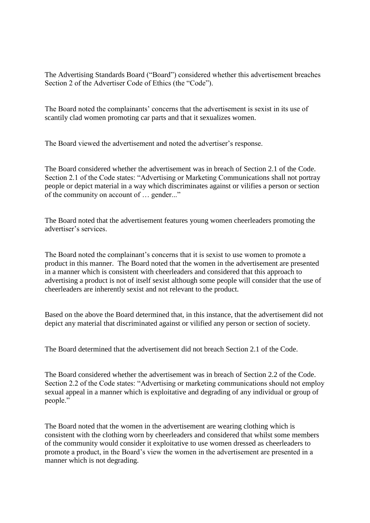The Advertising Standards Board ("Board") considered whether this advertisement breaches Section 2 of the Advertiser Code of Ethics (the "Code").

The Board noted the complainants' concerns that the advertisement is sexist in its use of scantily clad women promoting car parts and that it sexualizes women.

The Board viewed the advertisement and noted the advertiser's response.

The Board considered whether the advertisement was in breach of Section 2.1 of the Code. Section 2.1 of the Code states: "Advertising or Marketing Communications shall not portray people or depict material in a way which discriminates against or vilifies a person or section of the community on account of … gender..."

The Board noted that the advertisement features young women cheerleaders promoting the advertiser's services.

The Board noted the complainant's concerns that it is sexist to use women to promote a product in this manner. The Board noted that the women in the advertisement are presented in a manner which is consistent with cheerleaders and considered that this approach to advertising a product is not of itself sexist although some people will consider that the use of cheerleaders are inherently sexist and not relevant to the product.

Based on the above the Board determined that, in this instance, that the advertisement did not depict any material that discriminated against or vilified any person or section of society.

The Board determined that the advertisement did not breach Section 2.1 of the Code.

The Board considered whether the advertisement was in breach of Section 2.2 of the Code. Section 2.2 of the Code states: "Advertising or marketing communications should not employ sexual appeal in a manner which is exploitative and degrading of any individual or group of people."

The Board noted that the women in the advertisement are wearing clothing which is consistent with the clothing worn by cheerleaders and considered that whilst some members of the community would consider it exploitative to use women dressed as cheerleaders to promote a product, in the Board's view the women in the advertisement are presented in a manner which is not degrading.